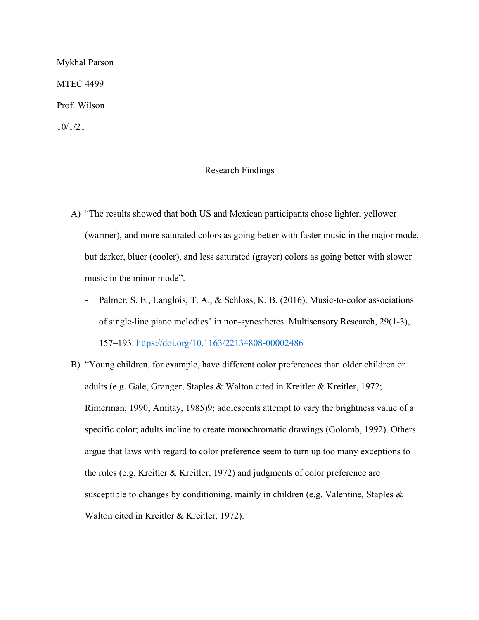Mykhal Parson MTEC 4499 Prof. Wilson 10/1/21

## Research Findings

- A) "The results showed that both US and Mexican participants chose lighter, yellower (warmer), and more saturated colors as going better with faster music in the major mode, but darker, bluer (cooler), and less saturated (grayer) colors as going better with slower music in the minor mode".
	- Palmer, S. E., Langlois, T. A., & Schloss, K. B. (2016). Music-to-color associations of single-line piano melodies" in non-synesthetes. Multisensory Research, 29(1-3), 157–193. https://doi.org/10.1163/22134808-00002486
- B) "Young children, for example, have different color preferences than older children or adults (e.g. Gale, Granger, Staples & Walton cited in Kreitler & Kreitler, 1972; Rimerman, 1990; Amitay, 1985)9; adolescents attempt to vary the brightness value of a specific color; adults incline to create monochromatic drawings (Golomb, 1992). Others argue that laws with regard to color preference seem to turn up too many exceptions to the rules (e.g. Kreitler & Kreitler, 1972) and judgments of color preference are susceptible to changes by conditioning, mainly in children (e.g. Valentine, Staples & Walton cited in Kreitler & Kreitler, 1972).